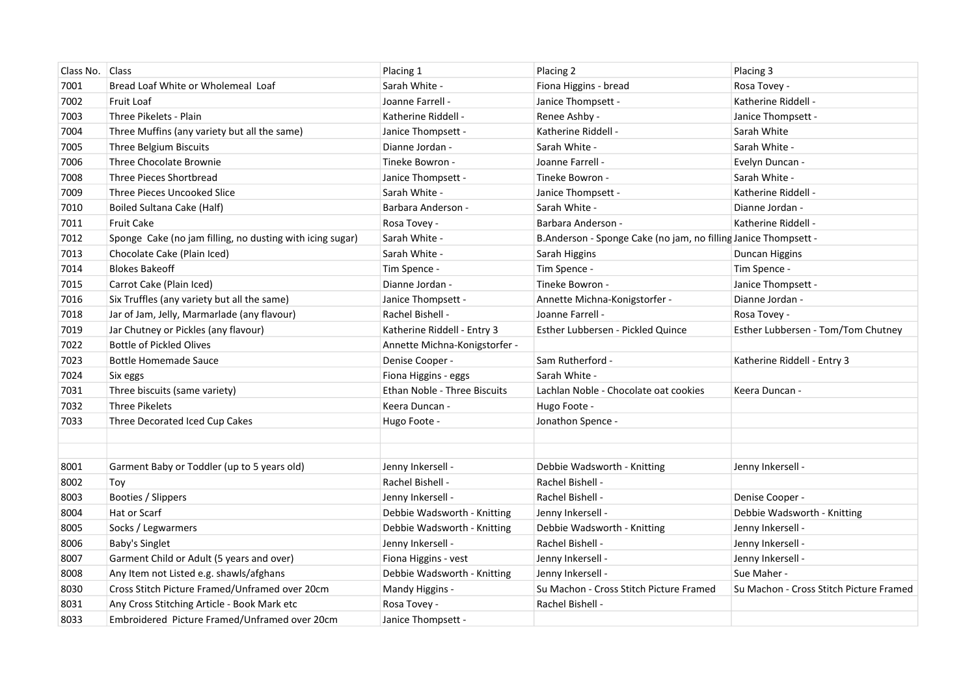| Class No. | <b>Class</b>                                              | Placing 1                     | Placing 2                                                       | Placing 3                               |
|-----------|-----------------------------------------------------------|-------------------------------|-----------------------------------------------------------------|-----------------------------------------|
| 7001      | Bread Loaf White or Wholemeal Loaf                        | Sarah White -                 | Fiona Higgins - bread                                           | Rosa Tovey -                            |
| 7002      | <b>Fruit Loaf</b>                                         | Joanne Farrell -              | Janice Thompsett -                                              | Katherine Riddell -                     |
| 7003      | Three Pikelets - Plain                                    | Katherine Riddell -           | Renee Ashby -                                                   | Janice Thompsett -                      |
| 7004      | Three Muffins (any variety but all the same)              | Janice Thompsett -            | Katherine Riddell -                                             | Sarah White                             |
| 7005      | Three Belgium Biscuits                                    | Dianne Jordan -               | Sarah White -                                                   | Sarah White -                           |
| 7006      | Three Chocolate Brownie                                   | Tineke Bowron -               | Joanne Farrell -                                                | Evelyn Duncan -                         |
| 7008      | Three Pieces Shortbread                                   | Janice Thompsett -            | Tineke Bowron -                                                 | Sarah White -                           |
| 7009      | Three Pieces Uncooked Slice                               | Sarah White -                 | Janice Thompsett -                                              | Katherine Riddell -                     |
| 7010      | Boiled Sultana Cake (Half)                                | Barbara Anderson -            | Sarah White -                                                   | Dianne Jordan -                         |
| 7011      | <b>Fruit Cake</b>                                         | Rosa Tovey -                  | Barbara Anderson -                                              | Katherine Riddell -                     |
| 7012      | Sponge Cake (no jam filling, no dusting with icing sugar) | Sarah White -                 | B.Anderson - Sponge Cake (no jam, no filling Janice Thompsett - |                                         |
| 7013      | Chocolate Cake (Plain Iced)                               | Sarah White -                 | Sarah Higgins                                                   | Duncan Higgins                          |
| 7014      | <b>Blokes Bakeoff</b>                                     | Tim Spence -                  | Tim Spence -                                                    | Tim Spence -                            |
| 7015      | Carrot Cake (Plain Iced)                                  | Dianne Jordan -               | Tineke Bowron -                                                 | Janice Thompsett -                      |
| 7016      | Six Truffles (any variety but all the same)               | Janice Thompsett -            | Annette Michna-Konigstorfer -                                   | Dianne Jordan -                         |
| 7018      | Jar of Jam, Jelly, Marmarlade (any flavour)               | Rachel Bishell -              | Joanne Farrell -                                                | Rosa Tovey -                            |
| 7019      | Jar Chutney or Pickles (any flavour)                      | Katherine Riddell - Entry 3   | Esther Lubbersen - Pickled Quince                               | Esther Lubbersen - Tom/Tom Chutney      |
| 7022      | <b>Bottle of Pickled Olives</b>                           | Annette Michna-Konigstorfer - |                                                                 |                                         |
| 7023      | <b>Bottle Homemade Sauce</b>                              | Denise Cooper -               | Sam Rutherford -                                                | Katherine Riddell - Entry 3             |
| 7024      | Six eggs                                                  | Fiona Higgins - eggs          | Sarah White -                                                   |                                         |
| 7031      | Three biscuits (same variety)                             | Ethan Noble - Three Biscuits  | Lachlan Noble - Chocolate oat cookies                           | Keera Duncan -                          |
| 7032      | Three Pikelets                                            | Keera Duncan -                | Hugo Foote -                                                    |                                         |
| 7033      | Three Decorated Iced Cup Cakes                            | Hugo Foote -                  | Jonathon Spence -                                               |                                         |
|           |                                                           |                               |                                                                 |                                         |
|           |                                                           |                               |                                                                 |                                         |
| 8001      | Garment Baby or Toddler (up to 5 years old)               | Jenny Inkersell -             | Debbie Wadsworth - Knitting                                     | Jenny Inkersell -                       |
| 8002      | Toy                                                       | Rachel Bishell -              | Rachel Bishell -                                                |                                         |
| 8003      | Booties / Slippers                                        | Jenny Inkersell -             | Rachel Bishell -                                                | Denise Cooper -                         |
| 8004      | Hat or Scarf                                              | Debbie Wadsworth - Knitting   | Jenny Inkersell -                                               | Debbie Wadsworth - Knitting             |
| 8005      | Socks / Legwarmers                                        | Debbie Wadsworth - Knitting   | Debbie Wadsworth - Knitting                                     | Jenny Inkersell -                       |
| 8006      | Baby's Singlet                                            | Jenny Inkersell -             | Rachel Bishell -                                                | Jenny Inkersell -                       |
| 8007      | Garment Child or Adult (5 years and over)                 | Fiona Higgins - vest          | Jenny Inkersell -                                               | Jenny Inkersell -                       |
| 8008      | Any Item not Listed e.g. shawls/afghans                   | Debbie Wadsworth - Knitting   | Jenny Inkersell -                                               | Sue Maher -                             |
| 8030      | Cross Stitch Picture Framed/Unframed over 20cm            | Mandy Higgins -               | Su Machon - Cross Stitch Picture Framed                         | Su Machon - Cross Stitch Picture Framed |
| 8031      | Any Cross Stitching Article - Book Mark etc               | Rosa Tovey -                  | Rachel Bishell -                                                |                                         |
| 8033      | Embroidered Picture Framed/Unframed over 20cm             | Janice Thompsett -            |                                                                 |                                         |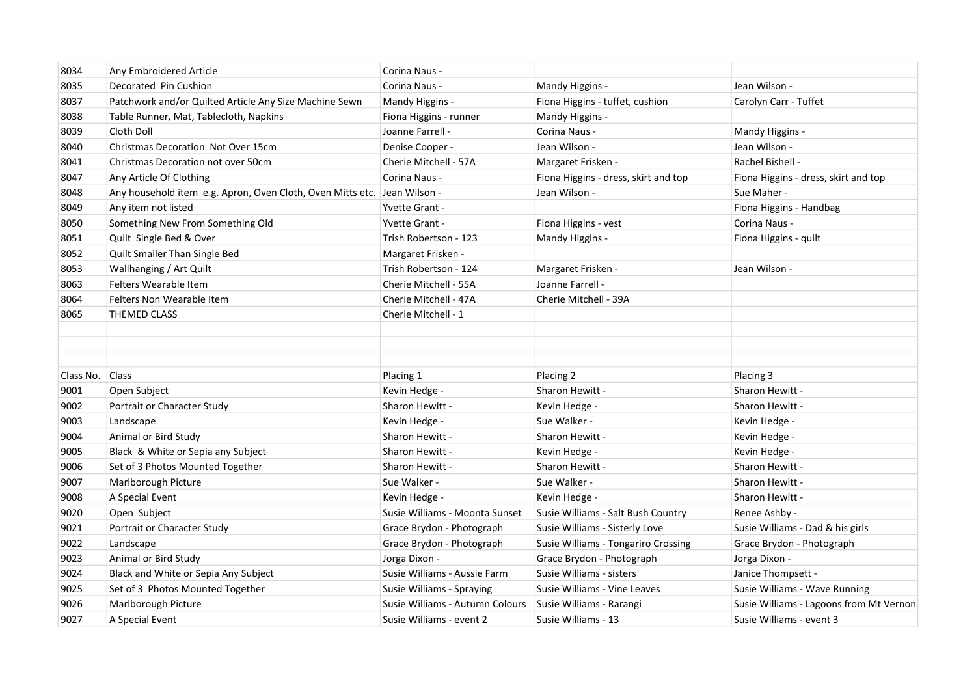| 8034      | Any Embroidered Article                                                  | Corina Naus -                   |                                      |                                         |
|-----------|--------------------------------------------------------------------------|---------------------------------|--------------------------------------|-----------------------------------------|
| 8035      | Decorated Pin Cushion                                                    | Corina Naus -                   | Mandy Higgins -                      | Jean Wilson -                           |
| 8037      | Patchwork and/or Quilted Article Any Size Machine Sewn                   | Mandy Higgins -                 | Fiona Higgins - tuffet, cushion      | Carolyn Carr - Tuffet                   |
| 8038      | Table Runner, Mat, Tablecloth, Napkins                                   | Fiona Higgins - runner          | Mandy Higgins -                      |                                         |
| 8039      | Cloth Doll                                                               | Joanne Farrell -                | Corina Naus -                        | Mandy Higgins -                         |
| 8040      | Christmas Decoration Not Over 15cm                                       | Denise Cooper -                 | Jean Wilson -                        | Jean Wilson -                           |
| 8041      | Christmas Decoration not over 50cm                                       | Cherie Mitchell - 57A           | Margaret Frisken -                   | Rachel Bishell -                        |
| 8047      | Any Article Of Clothing                                                  | Corina Naus -                   | Fiona Higgins - dress, skirt and top | Fiona Higgins - dress, skirt and top    |
| 8048      | Any household item e.g. Apron, Oven Cloth, Oven Mitts etc. Jean Wilson - |                                 | Jean Wilson -                        | Sue Maher -                             |
| 8049      | Any item not listed                                                      | <b>Yvette Grant -</b>           |                                      | Fiona Higgins - Handbag                 |
| 8050      | Something New From Something Old                                         | Yvette Grant -                  | Fiona Higgins - vest                 | Corina Naus -                           |
| 8051      | Quilt Single Bed & Over                                                  | Trish Robertson - 123           | Mandy Higgins -                      | Fiona Higgins - quilt                   |
| 8052      | Quilt Smaller Than Single Bed                                            | Margaret Frisken -              |                                      |                                         |
| 8053      | Wallhanging / Art Quilt                                                  | Trish Robertson - 124           | Margaret Frisken -                   | Jean Wilson -                           |
| 8063      | Felters Wearable Item                                                    | Cherie Mitchell - 55A           | Joanne Farrell -                     |                                         |
| 8064      | Felters Non Wearable Item                                                | Cherie Mitchell - 47A           | Cherie Mitchell - 39A                |                                         |
| 8065      | <b>THEMED CLASS</b>                                                      | Cherie Mitchell - 1             |                                      |                                         |
|           |                                                                          |                                 |                                      |                                         |
|           |                                                                          |                                 |                                      |                                         |
|           |                                                                          |                                 |                                      |                                         |
| Class No. | <b>Class</b>                                                             | Placing 1                       | Placing 2                            | Placing 3                               |
| 9001      | Open Subject                                                             | Kevin Hedge -                   | Sharon Hewitt -                      | Sharon Hewitt -                         |
| 9002      | Portrait or Character Study                                              | Sharon Hewitt -                 | Kevin Hedge -                        | Sharon Hewitt -                         |
| 9003      | Landscape                                                                | Kevin Hedge -                   | Sue Walker -                         | Kevin Hedge -                           |
| 9004      | Animal or Bird Study                                                     | Sharon Hewitt -                 | Sharon Hewitt -                      | Kevin Hedge -                           |
| 9005      | Black & White or Sepia any Subject                                       | Sharon Hewitt -                 | Kevin Hedge -                        | Kevin Hedge -                           |
| 9006      | Set of 3 Photos Mounted Together                                         | Sharon Hewitt -                 | Sharon Hewitt -                      | Sharon Hewitt -                         |
| 9007      | Marlborough Picture                                                      | Sue Walker -                    | Sue Walker -                         | Sharon Hewitt -                         |
| 9008      | A Special Event                                                          | Kevin Hedge -                   | Kevin Hedge -                        | Sharon Hewitt -                         |
| 9020      | Open Subject                                                             | Susie Williams - Moonta Sunset  | Susie Williams - Salt Bush Country   | Renee Ashby -                           |
| 9021      | Portrait or Character Study                                              | Grace Brydon - Photograph       | Susie Williams - Sisterly Love       | Susie Williams - Dad & his girls        |
| 9022      | Landscape                                                                | Grace Brydon - Photograph       | Susie Williams - Tongariro Crossing  | Grace Brydon - Photograph               |
| 9023      | Animal or Bird Study                                                     | Jorga Dixon -                   | Grace Brydon - Photograph            | Jorga Dixon -                           |
| 9024      | Black and White or Sepia Any Subject                                     | Susie Williams - Aussie Farm    | Susie Williams - sisters             | Janice Thompsett -                      |
| 9025      | Set of 3 Photos Mounted Together                                         | Susie Williams - Spraying       | Susie Williams - Vine Leaves         | Susie Williams - Wave Running           |
| 9026      | Marlborough Picture                                                      | Susie Williams - Autumn Colours | Susie Williams - Rarangi             | Susie Williams - Lagoons from Mt Vernon |
| 9027      | A Special Event                                                          | Susie Williams - event 2        | Susie Williams - 13                  | Susie Williams - event 3                |